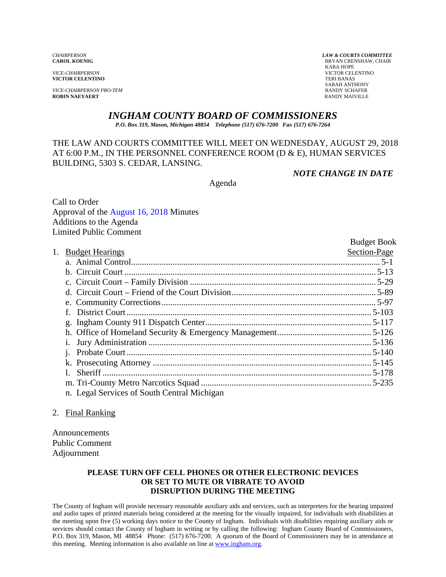*VICE-CHAIRPERSON* VICTOR CELENTINO **VICTOR CELENTINO** 

*VICE-CHAIRPERSON PRO-TEM* **RANDY SCHAFER ROBIN NAEYAERT RANDY SCHAFER ROBIN NAEYAERT** 

*CHAIRPERSON LAW & COURTS COMMITTEE* **BRYAN CRENSHAW, CHAIR**  KARA HOPE SARAH ANTHONY<br>RANDY SCHAFER

# *INGHAM COUNTY BOARD OF COMMISSIONERS*

*P.O. Box 319, Mason, Michigan 48854 Telephone (517) 676-7200 Fax (517) 676-7264*

# THE LAW AND COURTS COMMITTEE WILL MEET ON WEDNESDAY, AUGUST 29, 2018 AT 6:00 P.M., IN THE PERSONNEL CONFERENCE ROOM (D & E), HUMAN SERVICES BUILDING, 5303 S. CEDAR, LANSING.

*NOTE CHANGE IN DATE* 

Agenda

Call to Order Approval [of the August 16, 2018 Minutes](#page-1-0)  Additions to the Agenda Limited Public Comment

|    |                                             | <b>Budget Book</b> |
|----|---------------------------------------------|--------------------|
| 1. | <b>Budget Hearings</b>                      | Section-Page       |
|    |                                             |                    |
|    |                                             |                    |
|    |                                             |                    |
|    |                                             |                    |
|    |                                             |                    |
|    |                                             |                    |
|    |                                             |                    |
|    |                                             |                    |
|    |                                             |                    |
|    |                                             |                    |
|    |                                             |                    |
|    |                                             |                    |
|    |                                             |                    |
|    | n. Legal Services of South Central Michigan |                    |

## 2. Final Ranking

Announcements Public Comment Adjournment

#### **PLEASE TURN OFF CELL PHONES OR OTHER ELECTRONIC DEVICES OR SET TO MUTE OR VIBRATE TO AVOID DISRUPTION DURING THE MEETING**

The County of Ingham will provide necessary reasonable auxiliary aids and services, such as interpreters for the hearing impaired and audio tapes of printed materials being considered at the meeting for the visually impaired, for individuals with disabilities at the meeting upon five (5) working days notice to the County of Ingham. Individuals with disabilities requiring auxiliary aids or services should contact the County of Ingham in writing or by calling the following: Ingham County Board of Commissioners, P.O. Box 319, Mason, MI 48854 Phone: (517) 676-7200. A quorum of the Board of Commissioners may be in attendance at this meeting. Meeting information is also available on line at www.ingham.org.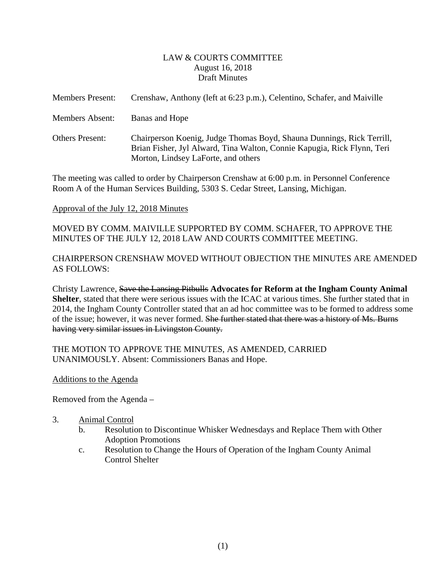## LAW & COURTS COMMITTEE August 16, 2018 Draft Minutes

<span id="page-1-0"></span>

| <b>Members Present:</b> | Crenshaw, Anthony (left at 6:23 p.m.), Celentino, Schafer, and Maiville                                                                                                                 |
|-------------------------|-----------------------------------------------------------------------------------------------------------------------------------------------------------------------------------------|
| Members Absent:         | Banas and Hope                                                                                                                                                                          |
| <b>Others Present:</b>  | Chairperson Koenig, Judge Thomas Boyd, Shauna Dunnings, Rick Terrill,<br>Brian Fisher, Jyl Alward, Tina Walton, Connie Kapugia, Rick Flynn, Teri<br>Morton, Lindsey LaForte, and others |

The meeting was called to order by Chairperson Crenshaw at 6:00 p.m. in Personnel Conference Room A of the Human Services Building, 5303 S. Cedar Street, Lansing, Michigan.

## Approval of the July 12, 2018 Minutes

MOVED BY COMM. MAIVILLE SUPPORTED BY COMM. SCHAFER, TO APPROVE THE MINUTES OF THE JULY 12, 2018 LAW AND COURTS COMMITTEE MEETING.

# CHAIRPERSON CRENSHAW MOVED WITHOUT OBJECTION THE MINUTES ARE AMENDED AS FOLLOWS:

Christy Lawrence, Save the Lansing Pitbulls **Advocates for Reform at the Ingham County Animal Shelter**, stated that there were serious issues with the ICAC at various times. She further stated that in 2014, the Ingham County Controller stated that an ad hoc committee was to be formed to address some of the issue; however, it was never formed. She further stated that there was a history of Ms. Burns having very similar issues in Livingston County.

## THE MOTION TO APPROVE THE MINUTES, AS AMENDED, CARRIED UNANIMOUSLY. Absent: Commissioners Banas and Hope.

## Additions to the Agenda

Removed from the Agenda –

- 3. Animal Control
	- b. Resolution to Discontinue Whisker Wednesdays and Replace Them with Other Adoption Promotions
	- c. Resolution to Change the Hours of Operation of the Ingham County Animal Control Shelter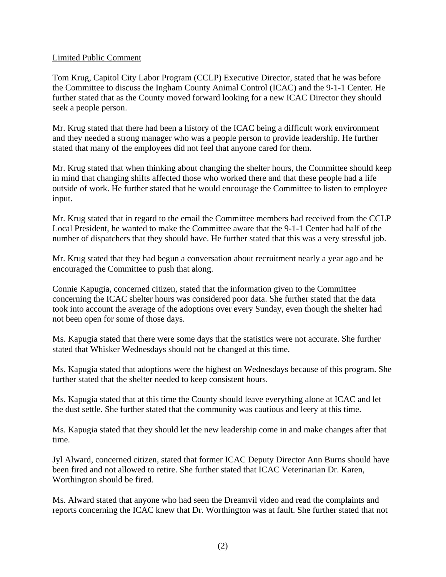## Limited Public Comment

Tom Krug, Capitol City Labor Program (CCLP) Executive Director, stated that he was before the Committee to discuss the Ingham County Animal Control (ICAC) and the 9-1-1 Center. He further stated that as the County moved forward looking for a new ICAC Director they should seek a people person.

Mr. Krug stated that there had been a history of the ICAC being a difficult work environment and they needed a strong manager who was a people person to provide leadership. He further stated that many of the employees did not feel that anyone cared for them.

Mr. Krug stated that when thinking about changing the shelter hours, the Committee should keep in mind that changing shifts affected those who worked there and that these people had a life outside of work. He further stated that he would encourage the Committee to listen to employee input.

Mr. Krug stated that in regard to the email the Committee members had received from the CCLP Local President, he wanted to make the Committee aware that the 9-1-1 Center had half of the number of dispatchers that they should have. He further stated that this was a very stressful job.

Mr. Krug stated that they had begun a conversation about recruitment nearly a year ago and he encouraged the Committee to push that along.

Connie Kapugia, concerned citizen, stated that the information given to the Committee concerning the ICAC shelter hours was considered poor data. She further stated that the data took into account the average of the adoptions over every Sunday, even though the shelter had not been open for some of those days.

Ms. Kapugia stated that there were some days that the statistics were not accurate. She further stated that Whisker Wednesdays should not be changed at this time.

Ms. Kapugia stated that adoptions were the highest on Wednesdays because of this program. She further stated that the shelter needed to keep consistent hours.

Ms. Kapugia stated that at this time the County should leave everything alone at ICAC and let the dust settle. She further stated that the community was cautious and leery at this time.

Ms. Kapugia stated that they should let the new leadership come in and make changes after that time.

Jyl Alward, concerned citizen, stated that former ICAC Deputy Director Ann Burns should have been fired and not allowed to retire. She further stated that ICAC Veterinarian Dr. Karen, Worthington should be fired.

Ms. Alward stated that anyone who had seen the Dreamvil video and read the complaints and reports concerning the ICAC knew that Dr. Worthington was at fault. She further stated that not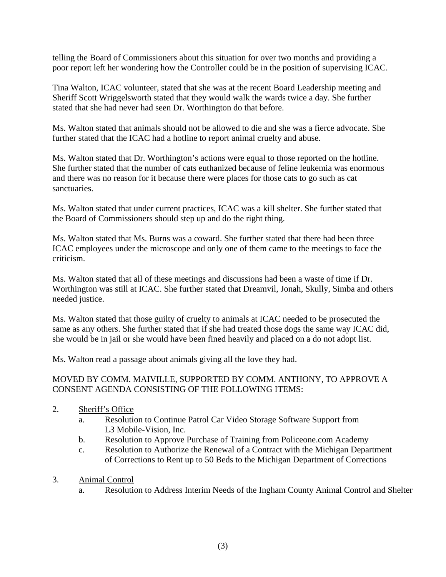telling the Board of Commissioners about this situation for over two months and providing a poor report left her wondering how the Controller could be in the position of supervising ICAC.

Tina Walton, ICAC volunteer, stated that she was at the recent Board Leadership meeting and Sheriff Scott Wriggelsworth stated that they would walk the wards twice a day. She further stated that she had never had seen Dr. Worthington do that before.

Ms. Walton stated that animals should not be allowed to die and she was a fierce advocate. She further stated that the ICAC had a hotline to report animal cruelty and abuse.

Ms. Walton stated that Dr. Worthington's actions were equal to those reported on the hotline. She further stated that the number of cats euthanized because of feline leukemia was enormous and there was no reason for it because there were places for those cats to go such as cat sanctuaries.

Ms. Walton stated that under current practices, ICAC was a kill shelter. She further stated that the Board of Commissioners should step up and do the right thing.

Ms. Walton stated that Ms. Burns was a coward. She further stated that there had been three ICAC employees under the microscope and only one of them came to the meetings to face the criticism.

Ms. Walton stated that all of these meetings and discussions had been a waste of time if Dr. Worthington was still at ICAC. She further stated that Dreamvil, Jonah, Skully, Simba and others needed justice.

Ms. Walton stated that those guilty of cruelty to animals at ICAC needed to be prosecuted the same as any others. She further stated that if she had treated those dogs the same way ICAC did, she would be in jail or she would have been fined heavily and placed on a do not adopt list.

Ms. Walton read a passage about animals giving all the love they had.

# MOVED BY COMM. MAIVILLE, SUPPORTED BY COMM. ANTHONY, TO APPROVE A CONSENT AGENDA CONSISTING OF THE FOLLOWING ITEMS:

- 2. Sheriff's Office
	- a. Resolution to Continue Patrol Car Video Storage Software Support from L3 Mobile-Vision, Inc.
	- b. Resolution to Approve Purchase of Training from Policeone.com Academy
	- c. Resolution to Authorize the Renewal of a Contract with the Michigan Department of Corrections to Rent up to 50 Beds to the Michigan Department of Corrections
- 3. Animal Control
	- a. Resolution to Address Interim Needs of the Ingham County Animal Control and Shelter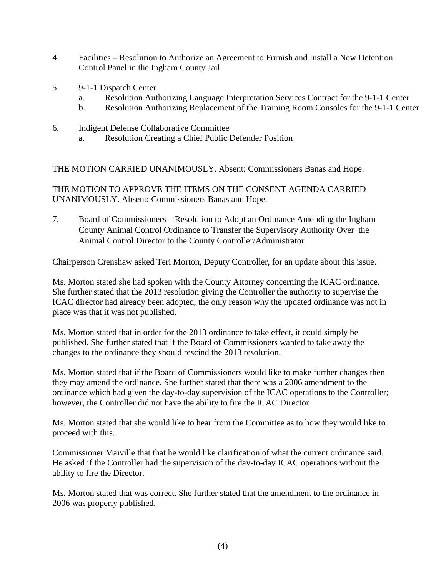- 4. Facilities Resolution to Authorize an Agreement to Furnish and Install a New Detention Control Panel in the Ingham County Jail
- 5. 9-1-1 Dispatch Center
	- a. Resolution Authorizing Language Interpretation Services Contract for the 9-1-1 Center
	- b. Resolution Authorizing Replacement of the Training Room Consoles for the 9-1-1 Center
- 6. Indigent Defense Collaborative Committee
	- a. Resolution Creating a Chief Public Defender Position

THE MOTION CARRIED UNANIMOUSLY. Absent: Commissioners Banas and Hope.

THE MOTION TO APPROVE THE ITEMS ON THE CONSENT AGENDA CARRIED UNANIMOUSLY. Absent: Commissioners Banas and Hope.

7. Board of Commissioners – Resolution to Adopt an Ordinance Amending the Ingham County Animal Control Ordinance to Transfer the Supervisory Authority Over the Animal Control Director to the County Controller/Administrator

Chairperson Crenshaw asked Teri Morton, Deputy Controller, for an update about this issue.

Ms. Morton stated she had spoken with the County Attorney concerning the ICAC ordinance. She further stated that the 2013 resolution giving the Controller the authority to supervise the ICAC director had already been adopted, the only reason why the updated ordinance was not in place was that it was not published.

Ms. Morton stated that in order for the 2013 ordinance to take effect, it could simply be published. She further stated that if the Board of Commissioners wanted to take away the changes to the ordinance they should rescind the 2013 resolution.

Ms. Morton stated that if the Board of Commissioners would like to make further changes then they may amend the ordinance. She further stated that there was a 2006 amendment to the ordinance which had given the day-to-day supervision of the ICAC operations to the Controller; however, the Controller did not have the ability to fire the ICAC Director.

Ms. Morton stated that she would like to hear from the Committee as to how they would like to proceed with this.

Commissioner Maiville that that he would like clarification of what the current ordinance said. He asked if the Controller had the supervision of the day-to-day ICAC operations without the ability to fire the Director.

Ms. Morton stated that was correct. She further stated that the amendment to the ordinance in 2006 was properly published.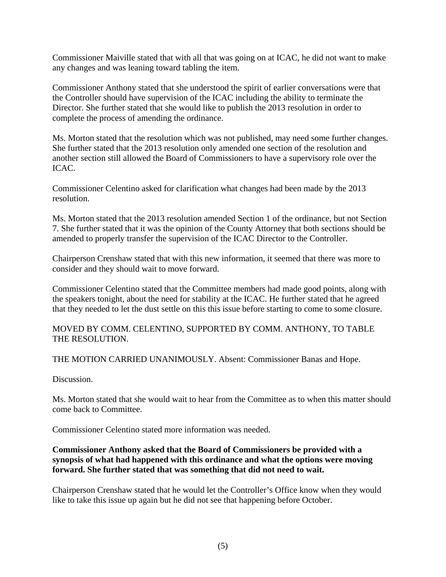Commissioner Maiville stated that with all that was going on at ICAC, he did not want to make any changes and was leaning toward tabling the item.

Commissioner Anthony stated that she understood the spirit of earlier conversations were that the Controller should have supervision of the ICAC including the ability to terminate the Director. She further stated that she would like to publish the 2013 resolution in order to complete the process of amending the ordinance.

Ms. Morton stated that the resolution which was not published, may need some further changes. She further stated that the 2013 resolution only amended one section of the resolution and another section still allowed the Board of Commissioners to have a supervisory role over the ICAC.

Commissioner Celentino asked for clarification what changes had been made by the 2013 resolution.

Ms. Morton stated that the 2013 resolution amended Section 1 of the ordinance, but not Section 7. She further stated that it was the opinion of the County Attorney that both sections should be amended to properly transfer the supervision of the ICAC Director to the Controller.

Chairperson Crenshaw stated that with this new information, it seemed that there was more to consider and they should wait to move forward.

Commissioner Celentino stated that the Committee members had made good points, along with the speakers tonight, about the need for stability at the ICAC. He further stated that he agreed that they needed to let the dust settle on this this issue before starting to come to some closure.

MOVED BY COMM. CELENTINO, SUPPORTED BY COMM. ANTHONY, TO TABLE THE RESOLUTION.

THE MOTION CARRIED UNANIMOUSLY. Absent: Commissioner Banas and Hope.

Discussion.

Ms. Morton stated that she would wait to hear from the Committee as to when this matter should come back to Committee.

Commissioner Celentino stated more information was needed.

# **Commissioner Anthony asked that the Board of Commissioners be provided with a synopsis of what had happened with this ordinance and what the options were moving forward. She further stated that was something that did not need to wait.**

Chairperson Crenshaw stated that he would let the Controller's Office know when they would like to take this issue up again but he did not see that happening before October.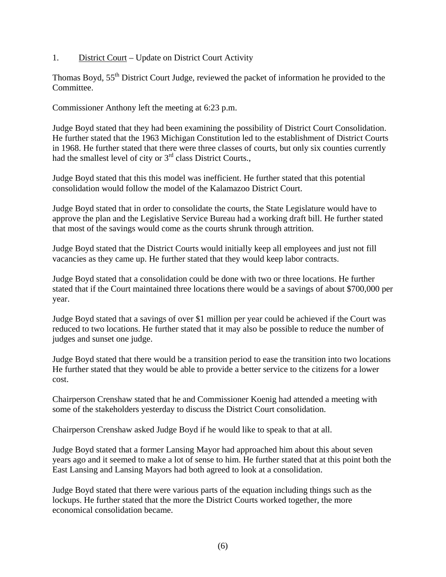1. District Court – Update on District Court Activity

Thomas Boyd, 55<sup>th</sup> District Court Judge, reviewed the packet of information he provided to the Committee.

Commissioner Anthony left the meeting at 6:23 p.m.

Judge Boyd stated that they had been examining the possibility of District Court Consolidation. He further stated that the 1963 Michigan Constitution led to the establishment of District Courts in 1968. He further stated that there were three classes of courts, but only six counties currently had the smallest level of city or  $3<sup>rd</sup>$  class District Courts.,

Judge Boyd stated that this this model was inefficient. He further stated that this potential consolidation would follow the model of the Kalamazoo District Court.

Judge Boyd stated that in order to consolidate the courts, the State Legislature would have to approve the plan and the Legislative Service Bureau had a working draft bill. He further stated that most of the savings would come as the courts shrunk through attrition.

Judge Boyd stated that the District Courts would initially keep all employees and just not fill vacancies as they came up. He further stated that they would keep labor contracts.

Judge Boyd stated that a consolidation could be done with two or three locations. He further stated that if the Court maintained three locations there would be a savings of about \$700,000 per year.

Judge Boyd stated that a savings of over \$1 million per year could be achieved if the Court was reduced to two locations. He further stated that it may also be possible to reduce the number of judges and sunset one judge.

Judge Boyd stated that there would be a transition period to ease the transition into two locations He further stated that they would be able to provide a better service to the citizens for a lower cost.

Chairperson Crenshaw stated that he and Commissioner Koenig had attended a meeting with some of the stakeholders yesterday to discuss the District Court consolidation.

Chairperson Crenshaw asked Judge Boyd if he would like to speak to that at all.

Judge Boyd stated that a former Lansing Mayor had approached him about this about seven years ago and it seemed to make a lot of sense to him. He further stated that at this point both the East Lansing and Lansing Mayors had both agreed to look at a consolidation.

Judge Boyd stated that there were various parts of the equation including things such as the lockups. He further stated that the more the District Courts worked together, the more economical consolidation became.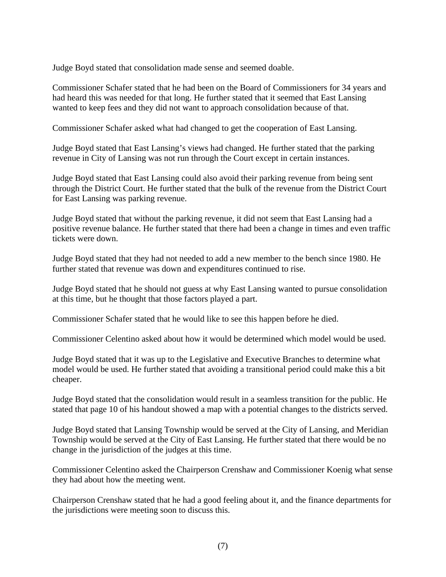Judge Boyd stated that consolidation made sense and seemed doable.

Commissioner Schafer stated that he had been on the Board of Commissioners for 34 years and had heard this was needed for that long. He further stated that it seemed that East Lansing wanted to keep fees and they did not want to approach consolidation because of that.

Commissioner Schafer asked what had changed to get the cooperation of East Lansing.

Judge Boyd stated that East Lansing's views had changed. He further stated that the parking revenue in City of Lansing was not run through the Court except in certain instances.

Judge Boyd stated that East Lansing could also avoid their parking revenue from being sent through the District Court. He further stated that the bulk of the revenue from the District Court for East Lansing was parking revenue.

Judge Boyd stated that without the parking revenue, it did not seem that East Lansing had a positive revenue balance. He further stated that there had been a change in times and even traffic tickets were down.

Judge Boyd stated that they had not needed to add a new member to the bench since 1980. He further stated that revenue was down and expenditures continued to rise.

Judge Boyd stated that he should not guess at why East Lansing wanted to pursue consolidation at this time, but he thought that those factors played a part.

Commissioner Schafer stated that he would like to see this happen before he died.

Commissioner Celentino asked about how it would be determined which model would be used.

Judge Boyd stated that it was up to the Legislative and Executive Branches to determine what model would be used. He further stated that avoiding a transitional period could make this a bit cheaper.

Judge Boyd stated that the consolidation would result in a seamless transition for the public. He stated that page 10 of his handout showed a map with a potential changes to the districts served.

Judge Boyd stated that Lansing Township would be served at the City of Lansing, and Meridian Township would be served at the City of East Lansing. He further stated that there would be no change in the jurisdiction of the judges at this time.

Commissioner Celentino asked the Chairperson Crenshaw and Commissioner Koenig what sense they had about how the meeting went.

Chairperson Crenshaw stated that he had a good feeling about it, and the finance departments for the jurisdictions were meeting soon to discuss this.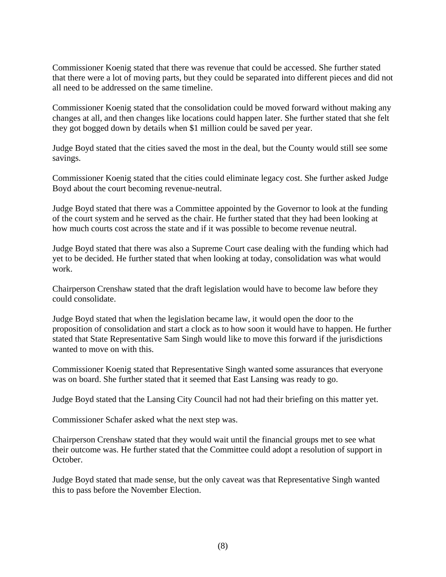Commissioner Koenig stated that there was revenue that could be accessed. She further stated that there were a lot of moving parts, but they could be separated into different pieces and did not all need to be addressed on the same timeline.

Commissioner Koenig stated that the consolidation could be moved forward without making any changes at all, and then changes like locations could happen later. She further stated that she felt they got bogged down by details when \$1 million could be saved per year.

Judge Boyd stated that the cities saved the most in the deal, but the County would still see some savings.

Commissioner Koenig stated that the cities could eliminate legacy cost. She further asked Judge Boyd about the court becoming revenue-neutral.

Judge Boyd stated that there was a Committee appointed by the Governor to look at the funding of the court system and he served as the chair. He further stated that they had been looking at how much courts cost across the state and if it was possible to become revenue neutral.

Judge Boyd stated that there was also a Supreme Court case dealing with the funding which had yet to be decided. He further stated that when looking at today, consolidation was what would work.

Chairperson Crenshaw stated that the draft legislation would have to become law before they could consolidate.

Judge Boyd stated that when the legislation became law, it would open the door to the proposition of consolidation and start a clock as to how soon it would have to happen. He further stated that State Representative Sam Singh would like to move this forward if the jurisdictions wanted to move on with this.

Commissioner Koenig stated that Representative Singh wanted some assurances that everyone was on board. She further stated that it seemed that East Lansing was ready to go.

Judge Boyd stated that the Lansing City Council had not had their briefing on this matter yet.

Commissioner Schafer asked what the next step was.

Chairperson Crenshaw stated that they would wait until the financial groups met to see what their outcome was. He further stated that the Committee could adopt a resolution of support in October.

Judge Boyd stated that made sense, but the only caveat was that Representative Singh wanted this to pass before the November Election.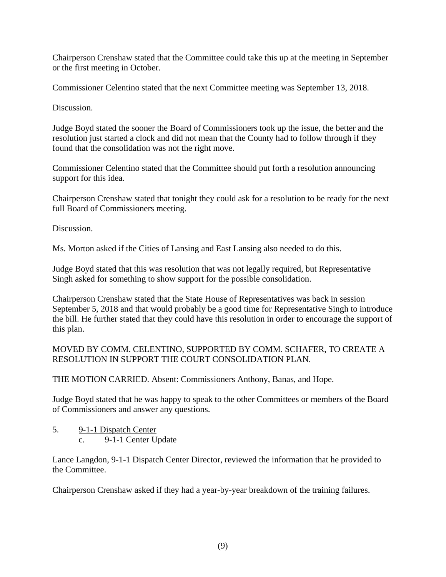Chairperson Crenshaw stated that the Committee could take this up at the meeting in September or the first meeting in October.

Commissioner Celentino stated that the next Committee meeting was September 13, 2018.

Discussion.

Judge Boyd stated the sooner the Board of Commissioners took up the issue, the better and the resolution just started a clock and did not mean that the County had to follow through if they found that the consolidation was not the right move.

Commissioner Celentino stated that the Committee should put forth a resolution announcing support for this idea.

Chairperson Crenshaw stated that tonight they could ask for a resolution to be ready for the next full Board of Commissioners meeting.

Discussion.

Ms. Morton asked if the Cities of Lansing and East Lansing also needed to do this.

Judge Boyd stated that this was resolution that was not legally required, but Representative Singh asked for something to show support for the possible consolidation.

Chairperson Crenshaw stated that the State House of Representatives was back in session September 5, 2018 and that would probably be a good time for Representative Singh to introduce the bill. He further stated that they could have this resolution in order to encourage the support of this plan.

MOVED BY COMM. CELENTINO, SUPPORTED BY COMM. SCHAFER, TO CREATE A RESOLUTION IN SUPPORT THE COURT CONSOLIDATION PLAN.

THE MOTION CARRIED. Absent: Commissioners Anthony, Banas, and Hope.

Judge Boyd stated that he was happy to speak to the other Committees or members of the Board of Commissioners and answer any questions.

5. 9-1-1 Dispatch Center c. 9-1-1 Center Update

Lance Langdon, 9-1-1 Dispatch Center Director, reviewed the information that he provided to the Committee.

Chairperson Crenshaw asked if they had a year-by-year breakdown of the training failures.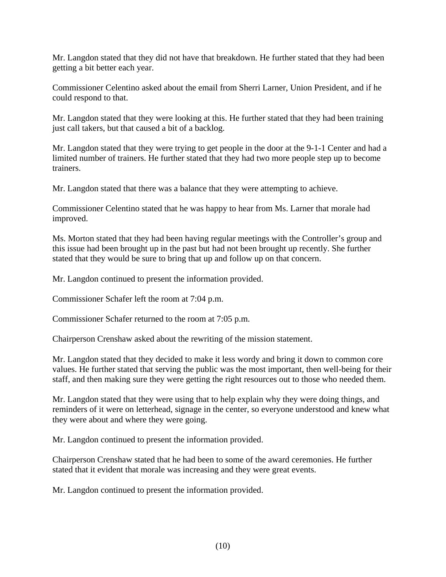Mr. Langdon stated that they did not have that breakdown. He further stated that they had been getting a bit better each year.

Commissioner Celentino asked about the email from Sherri Larner, Union President, and if he could respond to that.

Mr. Langdon stated that they were looking at this. He further stated that they had been training just call takers, but that caused a bit of a backlog.

Mr. Langdon stated that they were trying to get people in the door at the 9-1-1 Center and had a limited number of trainers. He further stated that they had two more people step up to become trainers.

Mr. Langdon stated that there was a balance that they were attempting to achieve.

Commissioner Celentino stated that he was happy to hear from Ms. Larner that morale had improved.

Ms. Morton stated that they had been having regular meetings with the Controller's group and this issue had been brought up in the past but had not been brought up recently. She further stated that they would be sure to bring that up and follow up on that concern.

Mr. Langdon continued to present the information provided.

Commissioner Schafer left the room at 7:04 p.m.

Commissioner Schafer returned to the room at 7:05 p.m.

Chairperson Crenshaw asked about the rewriting of the mission statement.

Mr. Langdon stated that they decided to make it less wordy and bring it down to common core values. He further stated that serving the public was the most important, then well-being for their staff, and then making sure they were getting the right resources out to those who needed them.

Mr. Langdon stated that they were using that to help explain why they were doing things, and reminders of it were on letterhead, signage in the center, so everyone understood and knew what they were about and where they were going.

Mr. Langdon continued to present the information provided.

Chairperson Crenshaw stated that he had been to some of the award ceremonies. He further stated that it evident that morale was increasing and they were great events.

Mr. Langdon continued to present the information provided.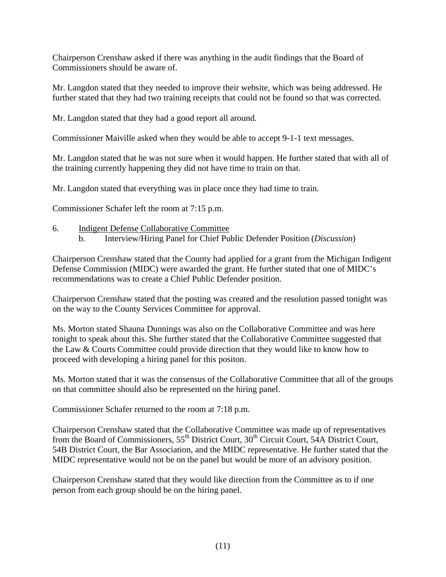Chairperson Crenshaw asked if there was anything in the audit findings that the Board of Commissioners should be aware of.

Mr. Langdon stated that they needed to improve their website, which was being addressed. He further stated that they had two training receipts that could not be found so that was corrected.

Mr. Langdon stated that they had a good report all around.

Commissioner Maiville asked when they would be able to accept 9-1-1 text messages.

Mr. Langdon stated that he was not sure when it would happen. He further stated that with all of the training currently happening they did not have time to train on that.

Mr. Langdon stated that everything was in place once they had time to train.

Commissioner Schafer left the room at 7:15 p.m.

- 6. Indigent Defense Collaborative Committee
	- b. Interview/Hiring Panel for Chief Public Defender Position (*Discussion*)

Chairperson Crenshaw stated that the County had applied for a grant from the Michigan Indigent Defense Commission (MIDC) were awarded the grant. He further stated that one of MIDC's recommendations was to create a Chief Public Defender position.

Chairperson Crenshaw stated that the posting was created and the resolution passed tonight was on the way to the County Services Committee for approval.

Ms. Morton stated Shauna Dunnings was also on the Collaborative Committee and was here tonight to speak about this. She further stated that the Collaborative Committee suggested that the Law & Courts Committee could provide direction that they would like to know how to proceed with developing a hiring panel for this positon.

Ms. Morton stated that it was the consensus of the Collaborative Committee that all of the groups on that committee should also be represented on the hiring panel.

Commissioner Schafer returned to the room at 7:18 p.m.

Chairperson Crenshaw stated that the Collaborative Committee was made up of representatives from the Board of Commissioners, 55<sup>th</sup> District Court, 30<sup>th</sup> Circuit Court, 54A District Court, 54B District Court, the Bar Association, and the MIDC representative. He further stated that the MIDC representative would not be on the panel but would be more of an advisory position.

Chairperson Crenshaw stated that they would like direction from the Committee as to if one person from each group should be on the hiring panel.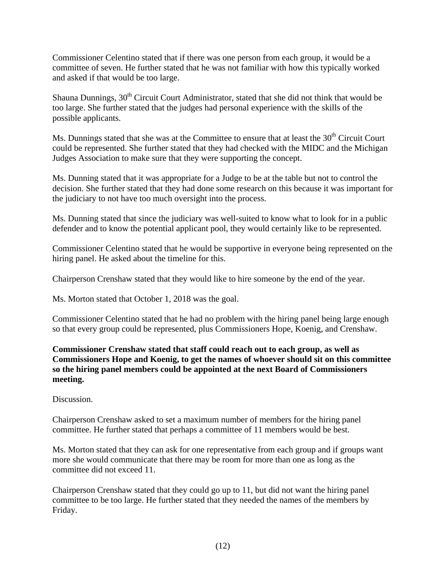Commissioner Celentino stated that if there was one person from each group, it would be a committee of seven. He further stated that he was not familiar with how this typically worked and asked if that would be too large.

Shauna Dunnings,  $30<sup>th</sup>$  Circuit Court Administrator, stated that she did not think that would be too large. She further stated that the judges had personal experience with the skills of the possible applicants.

Ms. Dunnings stated that she was at the Committee to ensure that at least the  $30<sup>th</sup>$  Circuit Court could be represented. She further stated that they had checked with the MIDC and the Michigan Judges Association to make sure that they were supporting the concept.

Ms. Dunning stated that it was appropriate for a Judge to be at the table but not to control the decision. She further stated that they had done some research on this because it was important for the judiciary to not have too much oversight into the process.

Ms. Dunning stated that since the judiciary was well-suited to know what to look for in a public defender and to know the potential applicant pool, they would certainly like to be represented.

Commissioner Celentino stated that he would be supportive in everyone being represented on the hiring panel. He asked about the timeline for this.

Chairperson Crenshaw stated that they would like to hire someone by the end of the year.

Ms. Morton stated that October 1, 2018 was the goal.

Commissioner Celentino stated that he had no problem with the hiring panel being large enough so that every group could be represented, plus Commissioners Hope, Koenig, and Crenshaw.

**Commissioner Crenshaw stated that staff could reach out to each group, as well as Commissioners Hope and Koenig, to get the names of whoever should sit on this committee so the hiring panel members could be appointed at the next Board of Commissioners meeting.** 

Discussion.

Chairperson Crenshaw asked to set a maximum number of members for the hiring panel committee. He further stated that perhaps a committee of 11 members would be best.

Ms. Morton stated that they can ask for one representative from each group and if groups want more she would communicate that there may be room for more than one as long as the committee did not exceed 11.

Chairperson Crenshaw stated that they could go up to 11, but did not want the hiring panel committee to be too large. He further stated that they needed the names of the members by Friday.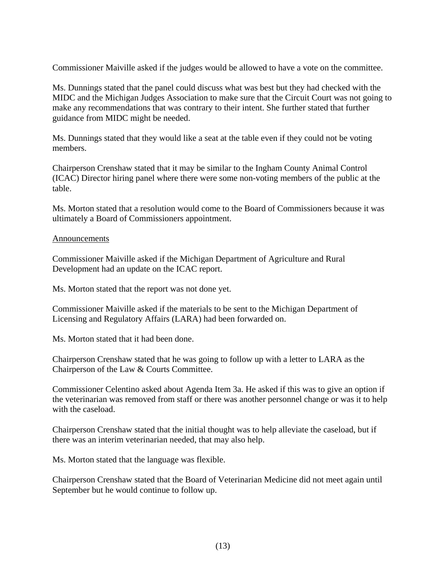Commissioner Maiville asked if the judges would be allowed to have a vote on the committee.

Ms. Dunnings stated that the panel could discuss what was best but they had checked with the MIDC and the Michigan Judges Association to make sure that the Circuit Court was not going to make any recommendations that was contrary to their intent. She further stated that further guidance from MIDC might be needed.

Ms. Dunnings stated that they would like a seat at the table even if they could not be voting members.

Chairperson Crenshaw stated that it may be similar to the Ingham County Animal Control (ICAC) Director hiring panel where there were some non-voting members of the public at the table.

Ms. Morton stated that a resolution would come to the Board of Commissioners because it was ultimately a Board of Commissioners appointment.

## **Announcements**

Commissioner Maiville asked if the Michigan Department of Agriculture and Rural Development had an update on the ICAC report.

Ms. Morton stated that the report was not done yet.

Commissioner Maiville asked if the materials to be sent to the Michigan Department of Licensing and Regulatory Affairs (LARA) had been forwarded on.

Ms. Morton stated that it had been done.

Chairperson Crenshaw stated that he was going to follow up with a letter to LARA as the Chairperson of the Law & Courts Committee.

Commissioner Celentino asked about Agenda Item 3a. He asked if this was to give an option if the veterinarian was removed from staff or there was another personnel change or was it to help with the caseload.

Chairperson Crenshaw stated that the initial thought was to help alleviate the caseload, but if there was an interim veterinarian needed, that may also help.

Ms. Morton stated that the language was flexible.

Chairperson Crenshaw stated that the Board of Veterinarian Medicine did not meet again until September but he would continue to follow up.